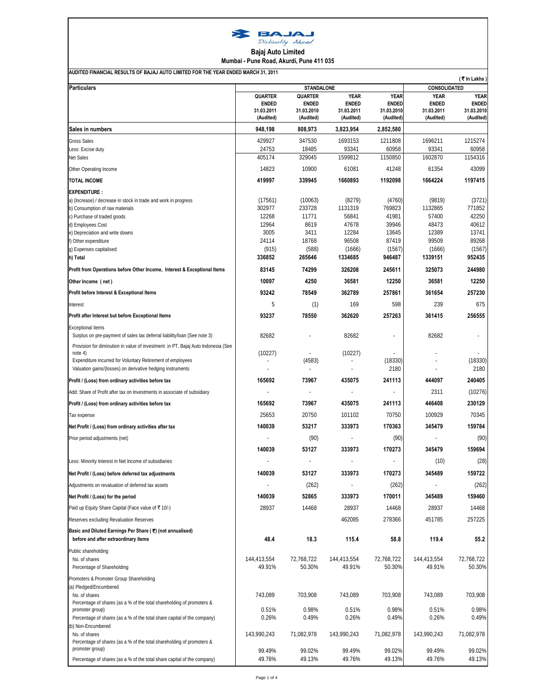

**Bajaj Auto Limited**

**Mumbai - Pune Road, Akurdi, Pune 411 035**

| <b>Particulars</b>                                                                                   | (そIn Lakhs)<br>CONSOLIDATED    |                                |                |                |                |                |
|------------------------------------------------------------------------------------------------------|--------------------------------|--------------------------------|----------------|----------------|----------------|----------------|
|                                                                                                      | STANDALONE                     |                                | <b>YEAR</b>    | <b>YEAR</b>    | <b>YEAR</b>    | <b>YEAR</b>    |
|                                                                                                      | <b>QUARTER</b><br><b>ENDED</b> | <b>QUARTER</b><br><b>ENDED</b> | <b>ENDED</b>   | <b>ENDED</b>   | <b>ENDED</b>   | <b>ENDED</b>   |
|                                                                                                      | 31.03.2011                     | 31.03.2010                     | 31.03.2011     | 31.03.2010     | 31.03.2011     | 31.03.2010     |
|                                                                                                      | (Audited)                      | (Audited)                      | (Audited)      | (Audited)      | (Audited)      | (Audited)      |
| Sales in numbers                                                                                     | 948,198                        | 808,973                        | 3,823,954      | 2,852,580      |                |                |
| <b>Gross Sales</b>                                                                                   | 429927                         | 347530                         | 1693153        | 1211808        | 1696211        | 1215274        |
| Less: Excise duty                                                                                    | 24753                          | 18485                          | 93341          | 60958          | 93341          | 60958          |
| Net Sales                                                                                            | 405174                         | 329045                         | 1599812        | 1150850        | 1602870        | 1154316        |
| Other Operating Income                                                                               | 14823                          | 10900                          | 61081          | 41248          | 61354          | 43099          |
| <b>TOTAL INCOME</b>                                                                                  | 419997                         | 339945                         | 1660893        | 1192098        | 1664224        | 1197415        |
| <b>EXPENDITURE:</b>                                                                                  |                                |                                |                |                |                |                |
| a) (Increase) / decrease in stock in trade and work in progress                                      | (17561)                        | (10063)                        | (8279)         | (4760)         | (9819)         | (3721)         |
| b) Consumption of raw materials                                                                      | 302977                         | 233728                         | 1131319        | 769823         | 1132865        | 771852         |
| c) Purchase of traded goods                                                                          | 12268                          | 11771                          | 56841          | 41981          | 57400          | 42250          |
| d) Employees Cost                                                                                    | 12964                          | 8619                           | 47678          | 39946          | 48473          | 40612          |
| e) Depreciation and write downs                                                                      | 3005                           | 3411                           | 12284          | 13645          | 12389          | 13741          |
| f) Other expenditure                                                                                 | 24114                          | 18768                          | 96508          | 87419          | 99509          | 89268          |
| g) Expenses capitalised                                                                              | (915)                          | (588)                          | (1666)         | (1567)         | (1666)         | (1567)         |
| h) Total                                                                                             | 336852                         | 265646                         | 1334685        | 946487         | 1339151        | 952435         |
| Profit from Operations before Other Income, Interest & Exceptional Items                             | 83145                          | 74299                          | 326208         | 245611         | 325073         | 244980         |
| Other Income (net)                                                                                   | 10097                          | 4250                           | 36581          | 12250          | 36581          | 12250          |
| Profit before Interest & Exceptional Items                                                           | 93242                          | 78549                          | 362789         | 257861         | 361654         | 257230         |
| Interest                                                                                             | 5                              | (1)                            | 169            | 598            | 239            | 675            |
| Profit after Interest but before Exceptional Items                                                   | 93237                          | 78550                          | 362620         | 257263         | 361415         | 256555         |
|                                                                                                      |                                |                                |                |                |                |                |
| <b>Exceptional items</b><br>Surplus on pre-payment of sales tax deferral liability/loan (See note 3) | 82682                          |                                | 82682          |                | 82682          |                |
| Provision for diminution in value of investment in PT. Bajaj Auto Indonesia (See<br>note 4)          | (10227)                        |                                | (10227)        |                |                |                |
| Expenditure incurred for Voluntary Retirement of employees                                           |                                | (4583)                         |                | (18330)        |                | (18330)        |
| Valuation gains/(losses) on derivative hedging instruments                                           |                                | L.                             |                | 2180           |                | 2180           |
| Profit / (Loss) from ordinary activities before tax                                                  | 165692                         | 73967                          | 435075         | 241113         | 444097         | 240405         |
| Add: Share of Profit after tax on Investments in associate of subsidiary                             |                                | $\overline{\phantom{a}}$       |                |                | 2311           | (10276)        |
| Profit / (Loss) from ordinary activities before tax                                                  | 165692                         | 73967                          | 435075         | 241113         | 446408         | 230129         |
| Tax expense                                                                                          | 25653                          | 20750                          | 101102         | 70750          | 100929         | 70345          |
| Net Profit / (Loss) from ordinary activities after tax                                               | 140039                         | 53217                          | 333973         | 170363         | 345479         | 159784         |
| Prior period adjustments (net)                                                                       |                                | (90)                           |                | (90)           |                | (90)           |
|                                                                                                      | 140039                         | 53127                          | 333973         | 170273         | 345479         | 159694         |
|                                                                                                      |                                | $\overline{\phantom{a}}$       | J.             |                | (10)           | (28)           |
| Less: Minority Interest in Net Income of subsidiaries                                                |                                |                                |                |                |                |                |
| Net Profit / (Loss) before deferred tax adjustments                                                  | 140039                         | 53127                          | 333973         | 170273         | 345489         | 159722         |
| Adjustments on revaluation of deferred tax assets                                                    |                                | (262)                          |                | (262)          |                | (262)          |
| Net Profit / (Loss) for the period                                                                   | 140039                         | 52865                          | 333973         | 170011         | 345489         | 159460         |
| Paid up Equity Share Capital (Face value of ₹ 10/-)                                                  | 28937                          | 14468                          | 28937          | 14468          | 28937          | 14468          |
| Reserves excluding Revaluation Reserves                                                              |                                |                                | 462085         | 278366         | 451785         | 257225         |
| Basic and Diluted Earnings Per Share (₹) (not annualised)<br>before and after extraordinary items    | 48.4                           | 18.3                           | 115.4          | 58.8           | 119.4          | 55.2           |
| Public shareholding                                                                                  |                                |                                |                |                |                |                |
| No. of shares                                                                                        | 144,413,554                    | 72,768,722                     | 144,413,554    | 72,768,722     | 144,413,554    | 72,768,722     |
| Percentage of Shareholding                                                                           | 49.91%                         | 50.30%                         | 49.91%         | 50.30%         | 49.91%         | 50.30%         |
| Promoters & Promoter Group Shareholding                                                              |                                |                                |                |                |                |                |
| (a) Pledged/Encumbered                                                                               |                                |                                |                |                |                |                |
| No. of shares                                                                                        | 743,089                        | 703,908                        | 743,089        | 703,908        | 743,089        | 703,908        |
| Percentage of shares (as a % of the total shareholding of promoters &                                |                                |                                |                |                |                |                |
| promoter group)                                                                                      | 0.51%<br>0.26%                 | 0.98%<br>0.49%                 | 0.51%<br>0.26% | 0.98%<br>0.49% | 0.51%<br>0.26% | 0.98%<br>0.49% |
| Percentage of shares (as a % of the total share capital of the company)<br>b) Non-Encumbered         |                                |                                |                |                |                |                |
| No. of shares                                                                                        | 143,990,243                    | 71,082,978                     | 143,990,243    | 71,082,978     | 143,990,243    | 71,082,978     |
| Percentage of shares (as a % of the total shareholding of promoters &                                |                                |                                |                |                |                |                |
| promoter group)                                                                                      | 99.49%                         | 99.02%                         | 99.49%         | 99.02%         | 99.49%         | 99.02%         |
| Percentage of shares (as a % of the total share capital of the company)                              | 49.76%                         | 49.13%                         | 49.76%         | 49.13%         | 49.76%         | 49.13%         |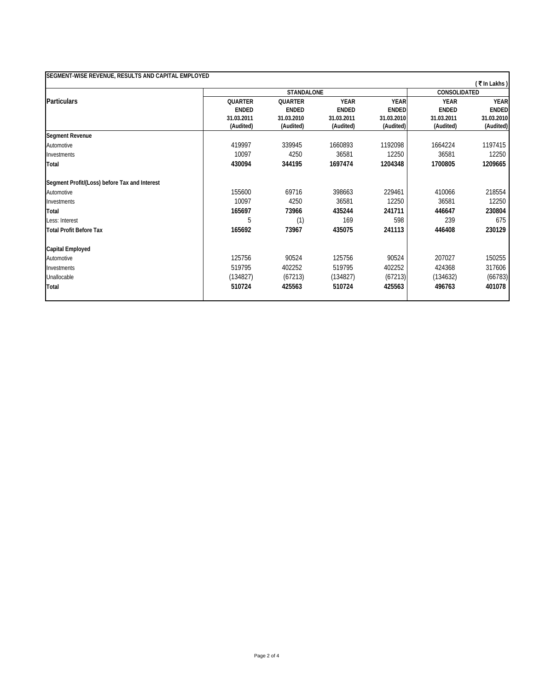| SEGMENT-WISE REVENUE, RESULTS AND CAPITAL EMPLOYED |                |                   |              |              |              | (₹In Lakhs)  |  |
|----------------------------------------------------|----------------|-------------------|--------------|--------------|--------------|--------------|--|
|                                                    |                | <b>STANDALONE</b> |              |              |              | CONSOLIDATED |  |
| <b>Particulars</b>                                 | <b>QUARTER</b> | <b>QUARTER</b>    | <b>YEAR</b>  | <b>YEAR</b>  | <b>YEAR</b>  | <b>YEAR</b>  |  |
|                                                    | <b>ENDED</b>   | <b>ENDED</b>      | <b>ENDED</b> | <b>ENDED</b> | <b>ENDED</b> | <b>ENDED</b> |  |
|                                                    | 31.03.2011     | 31.03.2010        | 31.03.2011   | 31.03.2010   | 31.03.2011   | 31.03.2010   |  |
|                                                    | (Audited)      | (Audited)         | (Audited)    | (Audited)    | (Audited)    | (Audited)    |  |
| <b>Segment Revenue</b>                             |                |                   |              |              |              |              |  |
| Automotive                                         | 419997         | 339945            | 1660893      | 1192098      | 1664224      | 1197415      |  |
| Investments                                        | 10097          | 4250              | 36581        | 12250        | 36581        | 12250        |  |
| Total                                              | 430094         | 344195            | 1697474      | 1204348      | 1700805      | 1209665      |  |
| Segment Profit/(Loss) before Tax and Interest      |                |                   |              |              |              |              |  |
| Automotive                                         | 155600         | 69716             | 398663       | 229461       | 410066       | 218554       |  |
| Investments                                        | 10097          | 4250              | 36581        | 12250        | 36581        | 12250        |  |
| Total                                              | 165697         | 73966             | 435244       | 241711       | 446647       | 230804       |  |
| Less: Interest                                     | 5              | (1)               | 169          | 598          | 239          | 675          |  |
| <b>Total Profit Before Tax</b>                     | 165692         | 73967             | 435075       | 241113       | 446408       | 230129       |  |
| <b>Capital Employed</b>                            |                |                   |              |              |              |              |  |
| Automotive                                         | 125756         | 90524             | 125756       | 90524        | 207027       | 150255       |  |
| Investments                                        | 519795         | 402252            | 519795       | 402252       | 424368       | 317606       |  |
| Unallocable                                        | (134827)       | (67213)           | (134827)     | (67213)      | (134632)     | (66783)      |  |
| Total                                              | 510724         | 425563            | 510724       | 425563       | 496763       | 401078       |  |
|                                                    |                |                   |              |              |              |              |  |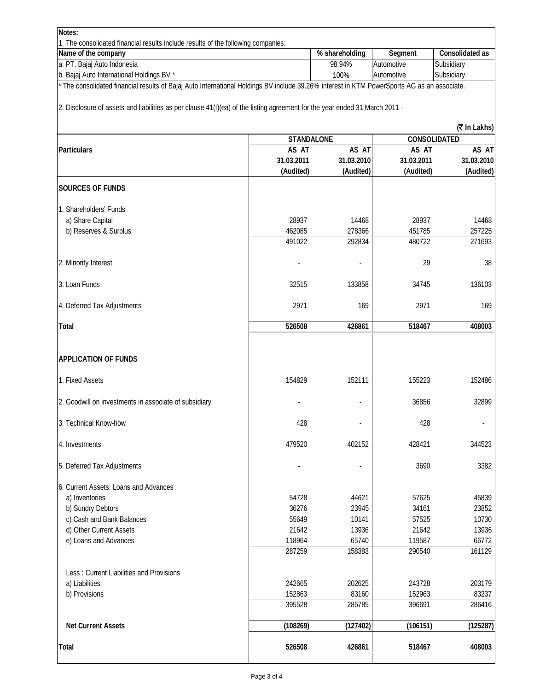| Notes:                                                                                                                                    |                   |                |                          |                 |
|-------------------------------------------------------------------------------------------------------------------------------------------|-------------------|----------------|--------------------------|-----------------|
| 1. The consolidated financial results include results of the following companies:                                                         |                   |                |                          |                 |
| Name of the company                                                                                                                       |                   | % shareholding | Segment                  | Consolidated as |
| a. PT. Bajaj Auto Indonesia                                                                                                               | 98.94%            | Automotive     | Subsidiary<br>Subsidiary |                 |
| b. Bajaj Auto International Holdings BV *                                                                                                 | 100%              | Automotive     |                          |                 |
| The consolidated financial results of Bajaj Auto International Holdings BV include 39.26% interest in KTM PowerSports AG as an associate. |                   |                |                          |                 |
| 2. Disclosure of assets and liabilities as per clause 41(I)(ea) of the listing agreement for the year ended 31 March 2011 -               |                   |                |                          |                 |
|                                                                                                                                           |                   |                |                          | (₹ In Lakhs)    |
|                                                                                                                                           | <b>STANDALONE</b> |                |                          | CONSOLIDATED    |
| <b>Particulars</b>                                                                                                                        | AS AT             | AS AT          | AS AT                    | AS AT           |
|                                                                                                                                           | 31.03.2011        | 31.03.2010     | 31.03.2011               | 31.03.2010      |
|                                                                                                                                           | (Audited)         | (Audited)      | (Audited)                | (Audited)       |
| <b>SOURCES OF FUNDS</b>                                                                                                                   |                   |                |                          |                 |
| 1. Shareholders' Funds                                                                                                                    |                   |                |                          |                 |
| a) Share Capital                                                                                                                          | 28937             | 14468          | 28937                    | 14468           |
| b) Reserves & Surplus                                                                                                                     | 462085            | 278366         | 451785                   | 257225          |
|                                                                                                                                           | 491022            | 292834         | 480722                   | 271693          |
| 2. Minority Interest                                                                                                                      |                   |                | 29                       | 38              |
| 3. Loan Funds                                                                                                                             | 32515             | 133858         | 34745                    | 136103          |
| 4. Deferred Tax Adjustments                                                                                                               | 2971              | 169            | 2971                     | 169             |
| <b>Total</b>                                                                                                                              | 526508            | 426861         | 518467                   | 408003          |
| <b>APPLICATION OF FUNDS</b>                                                                                                               |                   |                |                          |                 |
| 1. Fixed Assets                                                                                                                           | 154829            | 152111         | 155223                   | 152486          |
| 2. Goodwill on investments in associate of subsidiary                                                                                     |                   |                | 36856                    | 32899           |
| 3. Technical Know-how                                                                                                                     | 428               |                | 428                      |                 |
| 4. Investments                                                                                                                            | 479520            | 402152         | 428421                   | 344523          |
| 5. Deferred Tax Adjustments                                                                                                               |                   |                | 3690                     | 3382            |
| 6. Current Assets, Loans and Advances                                                                                                     |                   |                |                          |                 |
| a) Inventories                                                                                                                            | 54728             | 44621          | 57625                    | 45839           |
| b) Sundry Debtors                                                                                                                         | 36276             | 23945          | 34161                    | 23852           |
| c) Cash and Bank Balances                                                                                                                 | 55649             | 10141          | 57525                    | 10730           |
| d) Other Current Assets                                                                                                                   | 21642             | 13936          | 21642                    | 13936           |
| e) Loans and Advances                                                                                                                     | 118964            | 65740          | 119587                   | 66772           |
|                                                                                                                                           | 287259            | 158383         | 290540                   | 161129          |
|                                                                                                                                           |                   |                |                          |                 |
| Less: Current Liabilities and Provisions<br>a) Liabilities                                                                                | 242665            | 202625         | 243728                   | 203179          |
| b) Provisions                                                                                                                             | 152863            | 83160          | 152963                   | 83237           |
|                                                                                                                                           | 395528            | 285785         | 396691                   | 286416          |
|                                                                                                                                           |                   |                |                          |                 |
| <b>Net Current Assets</b>                                                                                                                 | (108269)          | (127402)       | (106151)                 | (125287)        |
| Total                                                                                                                                     | 526508            | 426861         | 518467                   | 408003          |